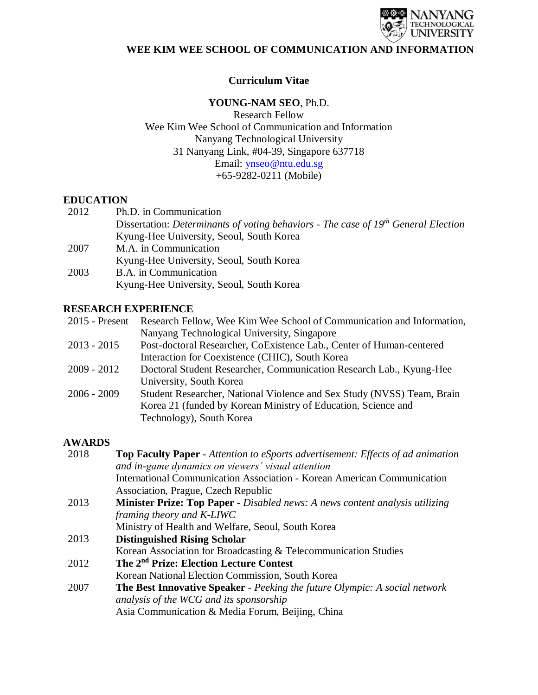

## **Curriculum Vitae**

### **YOUNG-NAM SEO**, Ph.D.

Research Fellow Wee Kim Wee School of Communication and Information Nanyang Technological University 31 Nanyang Link, #04-39, Singapore 637718 Email: [ynseo@ntu.edu.sg](mailto:ynseo@ntu.edu.sg) +65-9282-0211 (Mobile)

#### **EDUCATION**

| 2012 | Ph.D. in Communication                                                               |
|------|--------------------------------------------------------------------------------------|
|      | Dissertation: Determinants of voting behaviors - The case of $19th$ General Election |
|      | Kyung-Hee University, Seoul, South Korea                                             |
| 2007 | M.A. in Communication                                                                |
|      | Kyung-Hee University, Seoul, South Korea                                             |
| 2003 | B.A. in Communication                                                                |

Kyung-Hee University, Seoul, South Korea

### **RESEARCH EXPERIENCE**

|               | 2015 - Present Research Fellow, Wee Kim Wee School of Communication and Information, |
|---------------|--------------------------------------------------------------------------------------|
|               | Nanyang Technological University, Singapore                                          |
| $2013 - 2015$ | Post-doctoral Researcher, CoExistence Lab., Center of Human-centered                 |

- 2013 2015 Post-doctoral Researcher, CoExistence Lab., Center of Human-centered Interaction for Coexistence (CHIC), South Korea
- 2009 2012 Doctoral Student Researcher, Communication Research Lab., Kyung-Hee University, South Korea
- 2006 2009 Student Researcher, National Violence and Sex Study (NVSS) Team, Brain Korea 21 (funded by Korean Ministry of Education, Science and Technology), South Korea

#### **AWARDS**

| 2018 | <b>Top Faculty Paper</b> - Attention to eSports advertisement: Effects of ad animation |
|------|----------------------------------------------------------------------------------------|
|      | and in-game dynamics on viewers' visual attention                                      |
|      | <b>International Communication Association - Korean American Communication</b>         |
|      | Association, Prague, Czech Republic                                                    |
| 2013 | <b>Minister Prize: Top Paper</b> - Disabled news: A news content analysis utilizing    |
|      | framing theory and K-LIWC                                                              |
|      | Ministry of Health and Welfare, Seoul, South Korea                                     |
| 2013 | <b>Distinguished Rising Scholar</b>                                                    |
|      | Korean Association for Broadcasting & Telecommunication Studies                        |
| 2012 | The 2 <sup>nd</sup> Prize: Election Lecture Contest                                    |
|      | Korean National Election Commission, South Korea                                       |
| 2007 | <b>The Best Innovative Speaker</b> - Peeking the future Olympic: A social network      |
|      | analysis of the WCG and its sponsorship                                                |
|      | Asia Communication & Media Forum, Beijing, China                                       |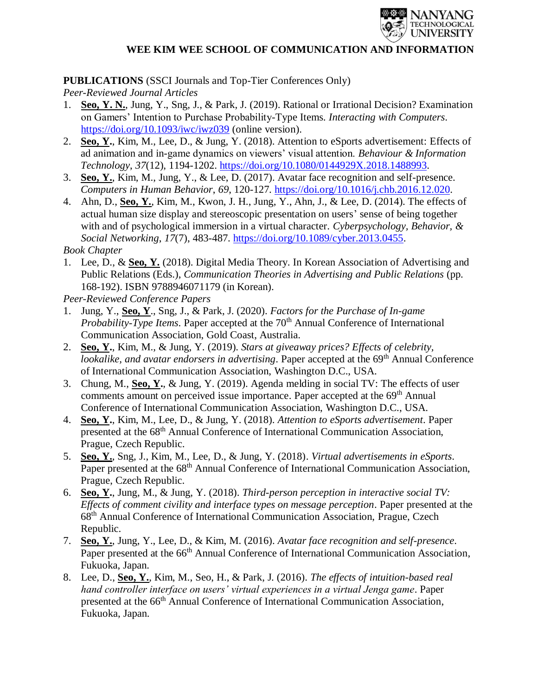

# **PUBLICATIONS** (SSCI Journals and Top-Tier Conferences Only)

*Peer-Reviewed Journal Articles*

- 1. **Seo, Y. N.**, Jung, Y., Sng, J., & Park, J. (2019). Rational or Irrational Decision? Examination on Gamers' Intention to Purchase Probability-Type Items. *Interacting with Computers*. <https://doi.org/10.1093/iwc/iwz039> (online version).
- 2. **Seo, Y.**, Kim, M., Lee, D., & Jung, Y. (2018). Attention to eSports advertisement: Effects of ad animation and in-game dynamics on viewers' visual attention. *Behaviour & Information Technology*, *37*(12), 1194-1202. [https://doi.org/10.1080/0144929X.2018.1488993.](https://doi.org/10.1080/0144929X.2018.1488993)
- 3. **Seo, Y.**, Kim, M., Jung, Y., & Lee, D. (2017). Avatar face recognition and self-presence. *Computers in Human Behavior*, *69*, 120-127. [https://doi.org/10.1016/j.chb.2016.12.020.](https://doi.org/10.1016/j.chb.2016.12.020)
- 4. Ahn, D., **Seo, Y.**, Kim, M., Kwon, J. H., Jung, Y., Ahn, J., & Lee, D. (2014). The effects of actual human size display and stereoscopic presentation on users' sense of being together with and of psychological immersion in a virtual character. *Cyberpsychology, Behavior, & Social Networking*, *17*(7), 483-487. [https://doi.org/10.1089/cyber.2013.0455.](https://doi.org/10.1089/cyber.2013.0455)

*Book Chapter*

1. Lee, D., & **Seo, Y.** (2018). Digital Media Theory. In Korean Association of Advertising and Public Relations (Eds.), *Communication Theories in Advertising and Public Relations* (pp. 168-192). ISBN 9788946071179 (in Korean).

*Peer-Reviewed Conference Papers*

- 1. Jung, Y., **Seo, Y**., Sng, J., & Park, J. (2020). *Factors for the Purchase of In-game Probability-Type Items.* Paper accepted at the 70<sup>th</sup> Annual Conference of International Communication Association, Gold Coast, Australia.
- 2. **Seo, Y.**, Kim, M., & Jung, Y. (2019). *Stars at giveaway prices? Effects of celebrity, lookalike, and avatar endorsers in advertising.* Paper accepted at the 69<sup>th</sup> Annual Conference of International Communication Association, Washington D.C., USA.
- 3. Chung, M., **Seo, Y.**, & Jung, Y. (2019). Agenda melding in social TV: The effects of user comments amount on perceived issue importance. Paper accepted at the 69<sup>th</sup> Annual Conference of International Communication Association, Washington D.C., USA.
- 4. **Seo, Y.**, Kim, M., Lee, D., & Jung, Y. (2018). *Attention to eSports advertisement*. Paper presented at the 68<sup>th</sup> Annual Conference of International Communication Association, Prague, Czech Republic.
- 5. **Seo, Y.**, Sng, J., Kim, M., Lee, D., & Jung, Y. (2018). *Virtual advertisements in eSports*. Paper presented at the 68<sup>th</sup> Annual Conference of International Communication Association, Prague, Czech Republic.
- 6. **Seo, Y.**, Jung, M., & Jung, Y. (2018). *Third-person perception in interactive social TV: Effects of comment civility and interface types on message perception*. Paper presented at the 68th Annual Conference of International Communication Association, Prague, Czech Republic.
- 7. **Seo, Y.**, Jung, Y., Lee, D., & Kim, M. (2016). *Avatar face recognition and self-presence*. Paper presented at the 66<sup>th</sup> Annual Conference of International Communication Association, Fukuoka, Japan.
- 8. Lee, D., **Seo, Y.**, Kim, M., Seo, H., & Park, J. (2016). *The effects of intuition-based real hand controller interface on users' virtual experiences in a virtual Jenga game*. Paper presented at the 66<sup>th</sup> Annual Conference of International Communication Association, Fukuoka, Japan.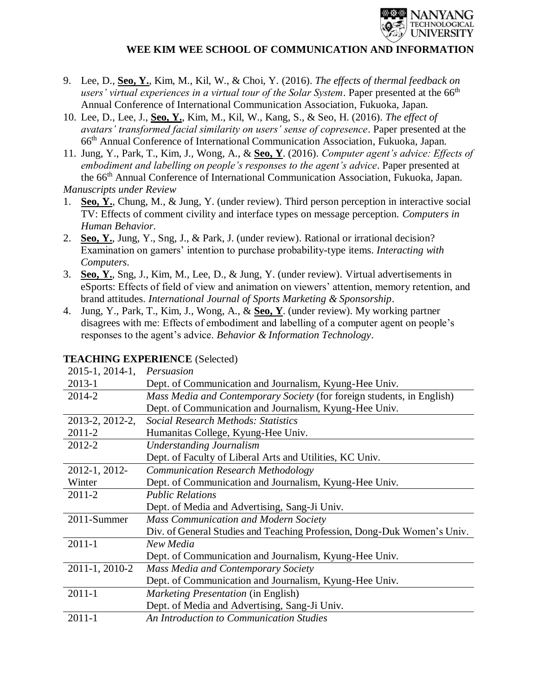

- 9. Lee, D., **Seo, Y.**, Kim, M., Kil, W., & Choi, Y. (2016). *The effects of thermal feedback on*  users' virtual experiences in a virtual tour of the Solar System. Paper presented at the 66<sup>th</sup> Annual Conference of International Communication Association, Fukuoka, Japan.
- 10. Lee, D., Lee, J., **Seo, Y.**, Kim, M., Kil, W., Kang, S., & Seo, H. (2016). *The effect of avatars' transformed facial similarity on users' sense of copresence*. Paper presented at the 66th Annual Conference of International Communication Association, Fukuoka, Japan.
- 11. Jung, Y., Park, T., Kim, J., Wong, A., & **Seo, Y**. (2016). *Computer agent's advice: Effects of embodiment and labelling on people's responses to the agent's advice*. Paper presented at the 66th Annual Conference of International Communication Association, Fukuoka, Japan.

*Manuscripts under Review*

- 1. **Seo, Y.**, Chung, M., & Jung, Y. (under review). Third person perception in interactive social TV: Effects of comment civility and interface types on message perception. *Computers in Human Behavior*.
- 2. **Seo, Y.**, Jung, Y., Sng, J., & Park, J. (under review). Rational or irrational decision? Examination on gamers' intention to purchase probability-type items. *Interacting with Computers*.
- 3. **Seo, Y.**, Sng, J., Kim, M., Lee, D., & Jung, Y. (under review). Virtual advertisements in eSports: Effects of field of view and animation on viewers' attention, memory retention, and brand attitudes. *International Journal of Sports Marketing & Sponsorship*.
- 4. Jung, Y., Park, T., Kim, J., Wong, A., & **Seo, Y**. (under review). My working partner disagrees with me: Effects of embodiment and labelling of a computer agent on people's responses to the agent's advice. *Behavior & Information Technology*.

# **TEACHING EXPERIENCE** (Selected)

| 2015-1, 2014-1, | Persuasion                                                              |
|-----------------|-------------------------------------------------------------------------|
| $2013 - 1$      | Dept. of Communication and Journalism, Kyung-Hee Univ.                  |
| 2014-2          | Mass Media and Contemporary Society (for foreign students, in English)  |
|                 | Dept. of Communication and Journalism, Kyung-Hee Univ.                  |
| 2013-2, 2012-2, | Social Research Methods: Statistics                                     |
| 2011-2          | Humanitas College, Kyung-Hee Univ.                                      |
| 2012-2          | <b>Understanding Journalism</b>                                         |
|                 | Dept. of Faculty of Liberal Arts and Utilities, KC Univ.                |
| 2012-1, 2012-   | <b>Communication Research Methodology</b>                               |
| Winter          | Dept. of Communication and Journalism, Kyung-Hee Univ.                  |
| 2011-2          | <b>Public Relations</b>                                                 |
|                 | Dept. of Media and Advertising, Sang-Ji Univ.                           |
| 2011-Summer     | <b>Mass Communication and Modern Society</b>                            |
|                 | Div. of General Studies and Teaching Profession, Dong-Duk Women's Univ. |
| $2011 - 1$      | New Media                                                               |
|                 | Dept. of Communication and Journalism, Kyung-Hee Univ.                  |
| 2011-1, 2010-2  | <b>Mass Media and Contemporary Society</b>                              |
|                 | Dept. of Communication and Journalism, Kyung-Hee Univ.                  |
| $2011 - 1$      | Marketing Presentation (in English)                                     |
|                 | Dept. of Media and Advertising, Sang-Ji Univ.                           |
| $2011 - 1$      | An Introduction to Communication Studies                                |